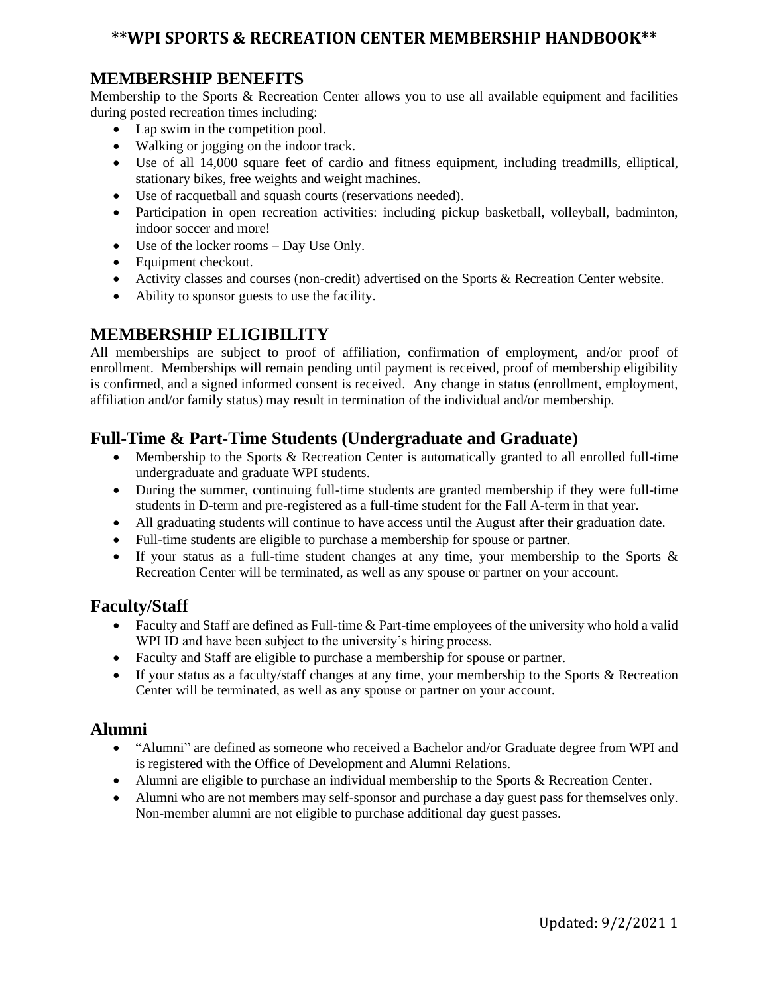# **\*\*WPI SPORTS & RECREATION CENTER MEMBERSHIP HANDBOOK\*\***

#### **MEMBERSHIP BENEFITS**

Membership to the Sports & Recreation Center allows you to use all available equipment and facilities during posted recreation times including:

- Lap swim in the competition pool.
- Walking or jogging on the indoor track.
- Use of all 14,000 square feet of cardio and fitness equipment, including treadmills, elliptical, stationary bikes, free weights and weight machines.
- Use of racquetball and squash courts (reservations needed).
- Participation in open recreation activities: including pickup basketball, volleyball, badminton, indoor soccer and more!
- Use of the locker rooms Day Use Only.
- Equipment checkout.
- Activity classes and courses (non-credit) advertised on the Sports & Recreation Center website.
- Ability to sponsor guests to use the facility.

### **MEMBERSHIP ELIGIBILITY**

All memberships are subject to proof of affiliation, confirmation of employment, and/or proof of enrollment. Memberships will remain pending until payment is received, proof of membership eligibility is confirmed, and a signed informed consent is received. Any change in status (enrollment, employment, affiliation and/or family status) may result in termination of the individual and/or membership.

#### **Full-Time & Part-Time Students (Undergraduate and Graduate)**

- Membership to the Sports & Recreation Center is automatically granted to all enrolled full-time undergraduate and graduate WPI students.
- During the summer, continuing full-time students are granted membership if they were full-time students in D-term and pre-registered as a full-time student for the Fall A-term in that year.
- All graduating students will continue to have access until the August after their graduation date.
- Full-time students are eligible to purchase a membership for spouse or partner.
- If your status as a full-time student changes at any time, your membership to the Sports & Recreation Center will be terminated, as well as any spouse or partner on your account.

#### **Faculty/Staff**

- Faculty and Staff are defined as Full-time & Part-time employees of the university who hold a valid WPI ID and have been subject to the university's hiring process.
- Faculty and Staff are eligible to purchase a membership for spouse or partner.
- If your status as a faculty/staff changes at any time, your membership to the Sports & Recreation Center will be terminated, as well as any spouse or partner on your account.

#### **Alumni**

- "Alumni" are defined as someone who received a Bachelor and/or Graduate degree from WPI and is registered with the Office of Development and Alumni Relations.
- Alumni are eligible to purchase an individual membership to the Sports & Recreation Center.
- Alumni who are not members may self-sponsor and purchase a day guest pass for themselves only. Non-member alumni are not eligible to purchase additional day guest passes.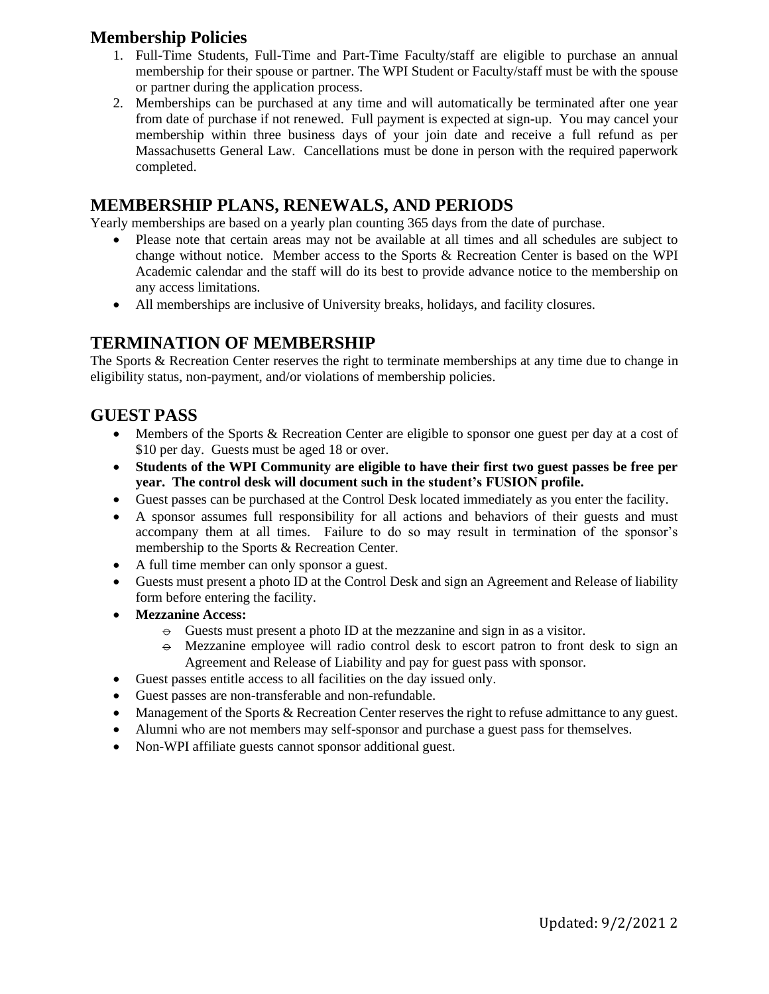#### **Membership Policies**

- 1. Full-Time Students, Full-Time and Part-Time Faculty/staff are eligible to purchase an annual membership for their spouse or partner. The WPI Student or Faculty/staff must be with the spouse or partner during the application process.
- 2. Memberships can be purchased at any time and will automatically be terminated after one year from date of purchase if not renewed. Full payment is expected at sign-up. You may cancel your membership within three business days of your join date and receive a full refund as per Massachusetts General Law. Cancellations must be done in person with the required paperwork completed.

#### **MEMBERSHIP PLANS, RENEWALS, AND PERIODS**

Yearly memberships are based on a yearly plan counting 365 days from the date of purchase.

- Please note that certain areas may not be available at all times and all schedules are subject to change without notice. Member access to the Sports & Recreation Center is based on the WPI Academic calendar and the staff will do its best to provide advance notice to the membership on any access limitations.
- All memberships are inclusive of University breaks, holidays, and facility closures.

#### **TERMINATION OF MEMBERSHIP**

The Sports & Recreation Center reserves the right to terminate memberships at any time due to change in eligibility status, non-payment, and/or violations of membership policies.

#### **GUEST PASS**

- Members of the Sports & Recreation Center are eligible to sponsor one guest per day at a cost of \$10 per day. Guests must be aged 18 or over.
- **Students of the WPI Community are eligible to have their first two guest passes be free per year. The control desk will document such in the student's FUSION profile.**
- Guest passes can be purchased at the Control Desk located immediately as you enter the facility.
- A sponsor assumes full responsibility for all actions and behaviors of their guests and must accompany them at all times. Failure to do so may result in termination of the sponsor's membership to the Sports & Recreation Center.
- A full time member can only sponsor a guest.
- Guests must present a photo ID at the Control Desk and sign an Agreement and Release of liability form before entering the facility.
- **Mezzanine Access:** 
	- $\theta$  Guests must present a photo ID at the mezzanine and sign in as a visitor.
	- $\Theta$  Mezzanine employee will radio control desk to escort patron to front desk to sign an Agreement and Release of Liability and pay for guest pass with sponsor.
- Guest passes entitle access to all facilities on the day issued only.
- Guest passes are non-transferable and non-refundable.
- Management of the Sports & Recreation Center reserves the right to refuse admittance to any guest.
- Alumni who are not members may self-sponsor and purchase a guest pass for themselves.
- Non-WPI affiliate guests cannot sponsor additional guest.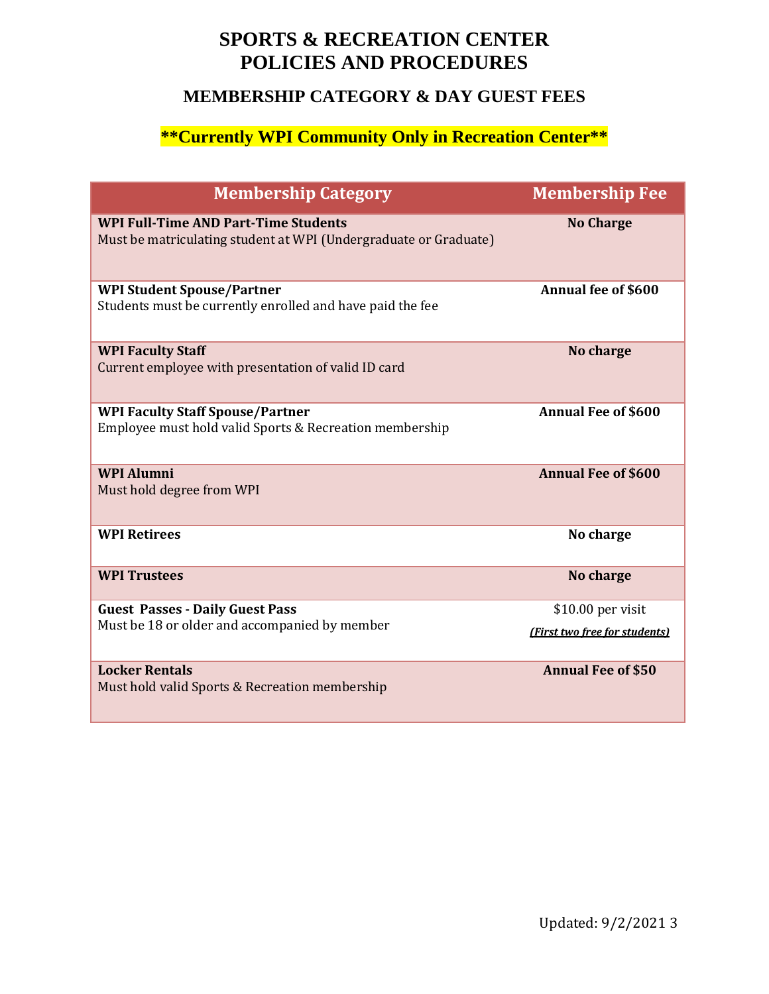# **SPORTS & RECREATION CENTER POLICIES AND PROCEDURES**

# **MEMBERSHIP CATEGORY & DAY GUEST FEES**

# **\*\*Currently WPI Community Only in Recreation Center\*\***

| <b>Membership Category</b>                                                                                      | <b>Membership Fee</b>         |
|-----------------------------------------------------------------------------------------------------------------|-------------------------------|
| <b>WPI Full-Time AND Part-Time Students</b><br>Must be matriculating student at WPI (Undergraduate or Graduate) | <b>No Charge</b>              |
| <b>WPI Student Spouse/Partner</b><br>Students must be currently enrolled and have paid the fee                  | <b>Annual fee of \$600</b>    |
| <b>WPI Faculty Staff</b><br>Current employee with presentation of valid ID card                                 | No charge                     |
| <b>WPI Faculty Staff Spouse/Partner</b><br>Employee must hold valid Sports & Recreation membership              | <b>Annual Fee of \$600</b>    |
| <b>WPI Alumni</b><br>Must hold degree from WPI                                                                  | <b>Annual Fee of \$600</b>    |
| <b>WPI Retirees</b>                                                                                             | No charge                     |
| <b>WPI Trustees</b>                                                                                             | No charge                     |
| <b>Guest Passes - Daily Guest Pass</b>                                                                          | $$10.00$ per visit            |
| Must be 18 or older and accompanied by member                                                                   | (First two free for students) |
| <b>Locker Rentals</b><br>Must hold valid Sports & Recreation membership                                         | <b>Annual Fee of \$50</b>     |

۰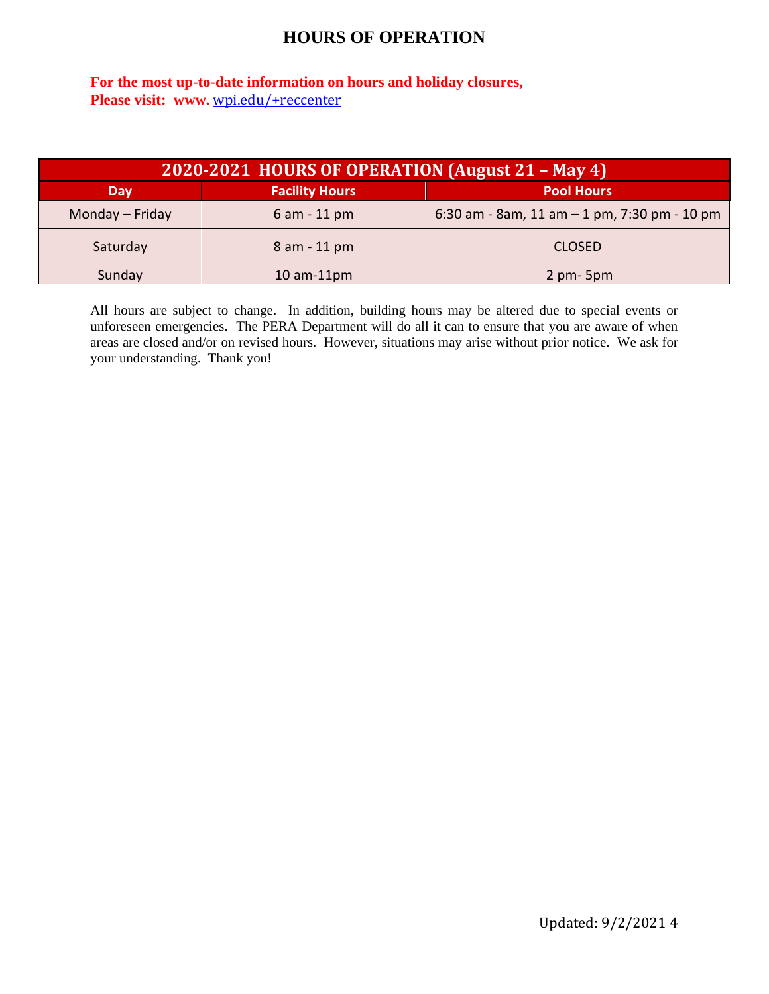# **HOURS OF OPERATION**

**For the most up-to-date information on hours and holiday closures, Please visit: www.** [wpi.edu/+reccenter](http://cts.vresp.com/c/?PhysicalEducationRec/e937f2a325/TEST/3537f2686e)

| 2020-2021 HOURS OF OPERATION (August 21 – May 4) |                       |                                                |
|--------------------------------------------------|-----------------------|------------------------------------------------|
| Day                                              | <b>Facility Hours</b> | <b>Pool Hours</b>                              |
| Monday - Friday                                  | $6$ am $-$ 11 pm      | 6:30 am - 8am, 11 am $-$ 1 pm, 7:30 pm - 10 pm |
| Saturday                                         | 8 am - 11 pm          | <b>CLOSED</b>                                  |
| Sunday                                           | $10$ am- $11$ pm      | $2 \text{ pm} - 5 \text{ pm}$                  |

All hours are subject to change. In addition, building hours may be altered due to special events or unforeseen emergencies. The PERA Department will do all it can to ensure that you are aware of when areas are closed and/or on revised hours. However, situations may arise without prior notice. We ask for your understanding. Thank you!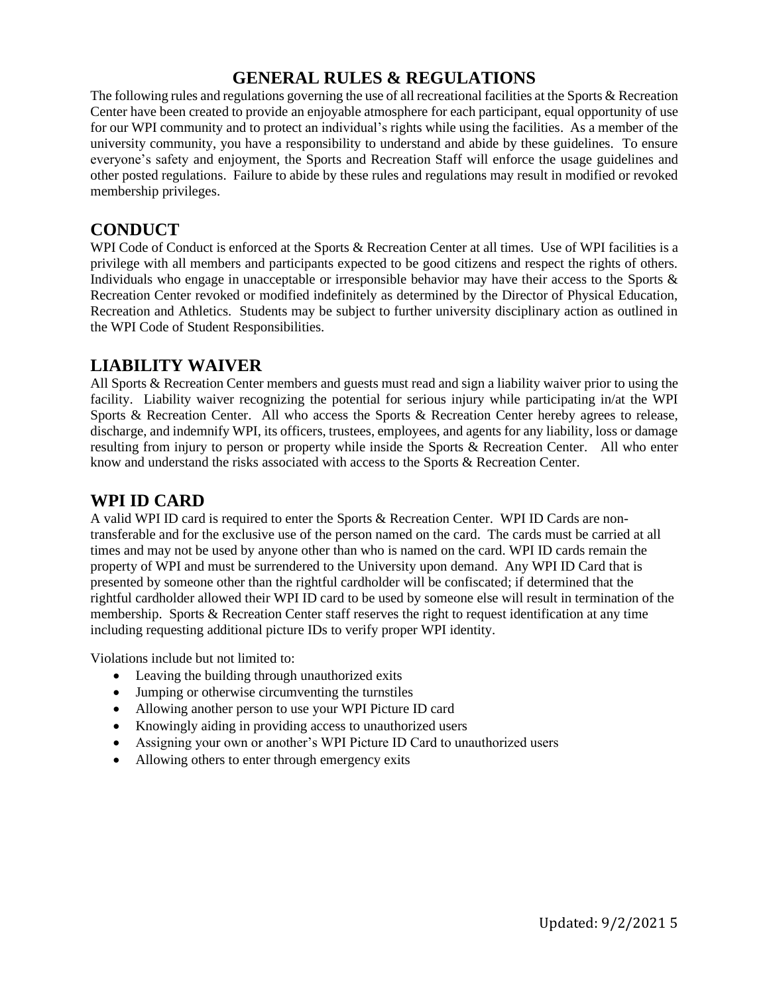# **GENERAL RULES & REGULATIONS**

The following rules and regulations governing the use of all recreational facilities at the Sports & Recreation Center have been created to provide an enjoyable atmosphere for each participant, equal opportunity of use for our WPI community and to protect an individual's rights while using the facilities. As a member of the university community, you have a responsibility to understand and abide by these guidelines. To ensure everyone's safety and enjoyment, the Sports and Recreation Staff will enforce the usage guidelines and other posted regulations. Failure to abide by these rules and regulations may result in modified or revoked membership privileges.

## **CONDUCT**

WPI Code of Conduct is enforced at the Sports & Recreation Center at all times. Use of WPI facilities is a privilege with all members and participants expected to be good citizens and respect the rights of others. Individuals who engage in unacceptable or irresponsible behavior may have their access to the Sports & Recreation Center revoked or modified indefinitely as determined by the Director of Physical Education, Recreation and Athletics. Students may be subject to further university disciplinary action as outlined in the WPI Code of Student Responsibilities.

### **LIABILITY WAIVER**

All Sports & Recreation Center members and guests must read and sign a liability waiver prior to using the facility. Liability waiver recognizing the potential for serious injury while participating in/at the WPI Sports & Recreation Center. All who access the Sports & Recreation Center hereby agrees to release, discharge, and indemnify WPI, its officers, trustees, employees, and agents for any liability, loss or damage resulting from injury to person or property while inside the Sports & Recreation Center. All who enter know and understand the risks associated with access to the Sports & Recreation Center.

#### **WPI ID CARD**

A valid WPI ID card is required to enter the Sports & Recreation Center. WPI ID Cards are nontransferable and for the exclusive use of the person named on the card. The cards must be carried at all times and may not be used by anyone other than who is named on the card. WPI ID cards remain the property of WPI and must be surrendered to the University upon demand. Any WPI ID Card that is presented by someone other than the rightful cardholder will be confiscated; if determined that the rightful cardholder allowed their WPI ID card to be used by someone else will result in termination of the membership. Sports & Recreation Center staff reserves the right to request identification at any time including requesting additional picture IDs to verify proper WPI identity.

Violations include but not limited to:

- Leaving the building through unauthorized exits
- Jumping or otherwise circumventing the turnstiles
- Allowing another person to use your WPI Picture ID card
- Knowingly aiding in providing access to unauthorized users
- Assigning your own or another's WPI Picture ID Card to unauthorized users
- Allowing others to enter through emergency exits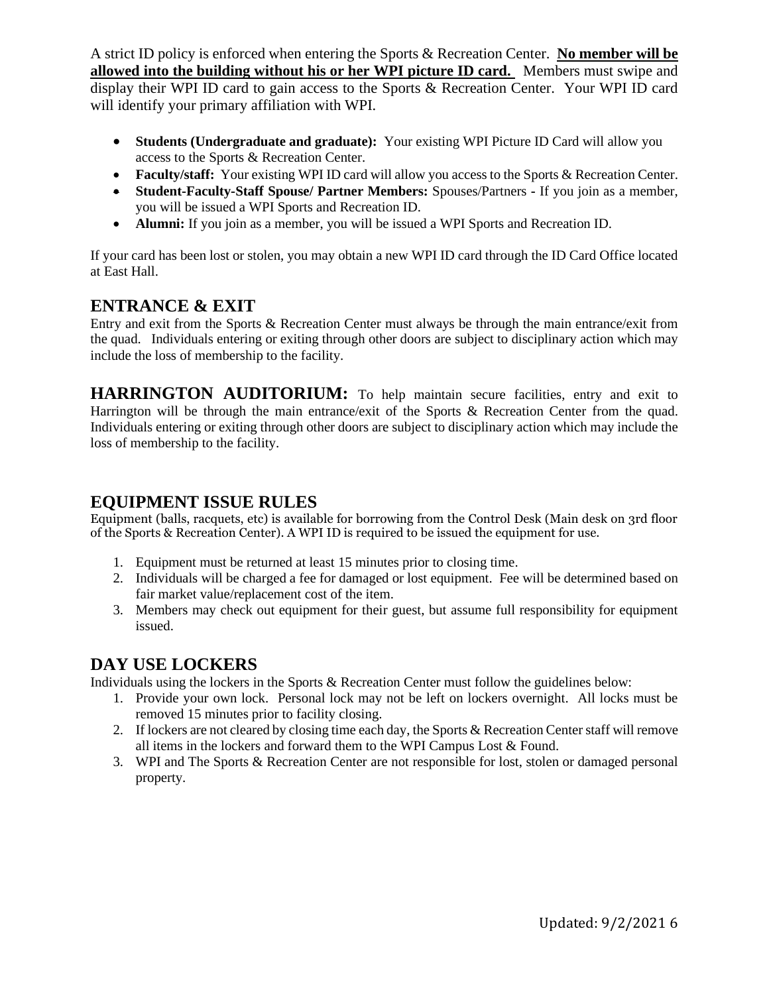A strict ID policy is enforced when entering the Sports & Recreation Center. **No member will be allowed into the building without his or her WPI picture ID card.** Members must swipe and display their WPI ID card to gain access to the Sports & Recreation Center. Your WPI ID card will identify your primary affiliation with WPI.

- **Students (Undergraduate and graduate):** Your existing WPI Picture ID Card will allow you access to the Sports & Recreation Center.
- **Faculty/staff:** Your existing WPI ID card will allow you access to the Sports & Recreation Center.
- **Student-Faculty-Staff Spouse/ Partner Members:** Spouses/Partners **-** If you join as a member, you will be issued a WPI Sports and Recreation ID.
- **Alumni:** If you join as a member, you will be issued a WPI Sports and Recreation ID.

If your card has been lost or stolen, you may obtain a new WPI ID card through the ID Card Office located at East Hall.

# **ENTRANCE & EXIT**

Entry and exit from the Sports & Recreation Center must always be through the main entrance/exit from the quad. Individuals entering or exiting through other doors are subject to disciplinary action which may include the loss of membership to the facility.

**HARRINGTON AUDITORIUM:** To help maintain secure facilities, entry and exit to Harrington will be through the main entrance/exit of the Sports & Recreation Center from the quad. Individuals entering or exiting through other doors are subject to disciplinary action which may include the loss of membership to the facility.

## **EQUIPMENT ISSUE RULES**

Equipment (balls, racquets, etc) is available for borrowing from the Control Desk (Main desk on 3rd floor of the Sports & Recreation Center). A WPI ID is required to be issued the equipment for use.

- 1. Equipment must be returned at least 15 minutes prior to closing time.
- 2. Individuals will be charged a fee for damaged or lost equipment. Fee will be determined based on fair market value/replacement cost of the item.
- 3. Members may check out equipment for their guest, but assume full responsibility for equipment issued.

# **DAY USE LOCKERS**

Individuals using the lockers in the Sports & Recreation Center must follow the guidelines below:

- 1. Provide your own lock. Personal lock may not be left on lockers overnight. All locks must be removed 15 minutes prior to facility closing.
- 2. If lockers are not cleared by closing time each day, the Sports & Recreation Center staff will remove all items in the lockers and forward them to the WPI Campus Lost & Found.
- 3. WPI and The Sports & Recreation Center are not responsible for lost, stolen or damaged personal property.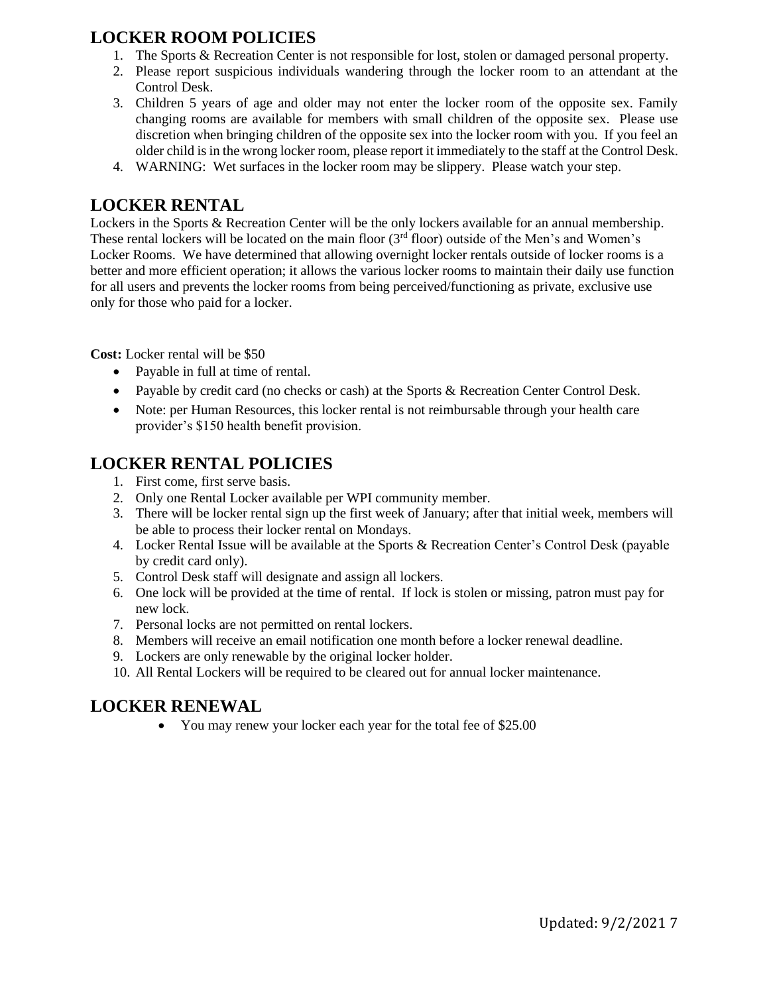# **LOCKER ROOM POLICIES**

- 1. The Sports & Recreation Center is not responsible for lost, stolen or damaged personal property.
- 2. Please report suspicious individuals wandering through the locker room to an attendant at the Control Desk.
- 3. Children 5 years of age and older may not enter the locker room of the opposite sex. Family changing rooms are available for members with small children of the opposite sex. Please use discretion when bringing children of the opposite sex into the locker room with you. If you feel an older child is in the wrong locker room, please report it immediately to the staff at the Control Desk.
- 4. WARNING: Wet surfaces in the locker room may be slippery. Please watch your step.

# **LOCKER RENTAL**

Lockers in the Sports & Recreation Center will be the only lockers available for an annual membership. These rental lockers will be located on the main floor (3<sup>rd</sup> floor) outside of the Men's and Women's Locker Rooms. We have determined that allowing overnight locker rentals outside of locker rooms is a better and more efficient operation; it allows the various locker rooms to maintain their daily use function for all users and prevents the locker rooms from being perceived/functioning as private, exclusive use only for those who paid for a locker.

**Cost:** Locker rental will be \$50

- Payable in full at time of rental.
- Payable by credit card (no checks or cash) at the Sports & Recreation Center Control Desk.
- Note: per Human Resources, this locker rental is not reimbursable through your health care provider's \$150 health benefit provision.

# **LOCKER RENTAL POLICIES**

- 1. First come, first serve basis.
- 2. Only one Rental Locker available per WPI community member.
- 3. There will be locker rental sign up the first week of January; after that initial week, members will be able to process their locker rental on Mondays.
- 4. Locker Rental Issue will be available at the Sports & Recreation Center's Control Desk (payable by credit card only).
- 5. Control Desk staff will designate and assign all lockers.
- 6. One lock will be provided at the time of rental. If lock is stolen or missing, patron must pay for new lock.
- 7. Personal locks are not permitted on rental lockers.
- 8. Members will receive an email notification one month before a locker renewal deadline.
- 9. Lockers are only renewable by the original locker holder.
- 10. All Rental Lockers will be required to be cleared out for annual locker maintenance.

# **LOCKER RENEWAL**

• You may renew your locker each year for the total fee of \$25.00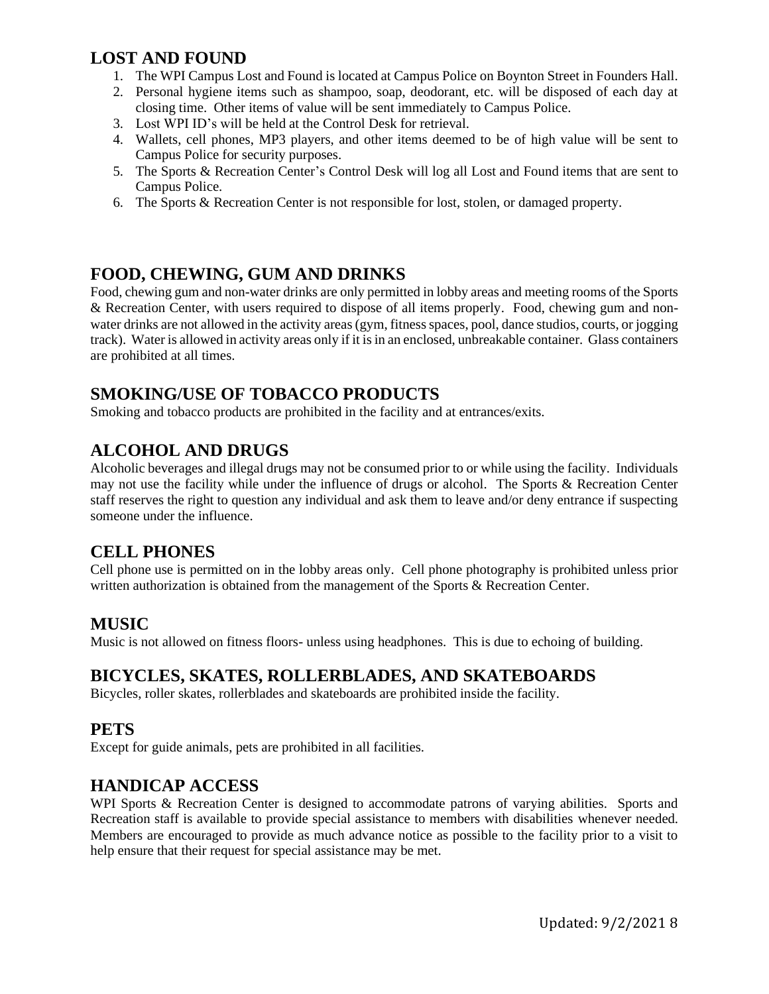## **LOST AND FOUND**

- 1. The WPI Campus Lost and Found is located at Campus Police on Boynton Street in Founders Hall.
- 2. Personal hygiene items such as shampoo, soap, deodorant, etc. will be disposed of each day at closing time. Other items of value will be sent immediately to Campus Police.
- 3. Lost WPI ID's will be held at the Control Desk for retrieval.
- 4. Wallets, cell phones, MP3 players, and other items deemed to be of high value will be sent to Campus Police for security purposes.
- 5. The Sports & Recreation Center's Control Desk will log all Lost and Found items that are sent to Campus Police.
- 6. The Sports & Recreation Center is not responsible for lost, stolen, or damaged property.

#### **FOOD, CHEWING, GUM AND DRINKS**

Food, chewing gum and non-water drinks are only permitted in lobby areas and meeting rooms of the Sports & Recreation Center, with users required to dispose of all items properly. Food, chewing gum and nonwater drinks are not allowed in the activity areas (gym, fitness spaces, pool, dance studios, courts, or jogging track). Water is allowed in activity areas only if it is in an enclosed, unbreakable container. Glass containers are prohibited at all times.

# **SMOKING/USE OF TOBACCO PRODUCTS**

Smoking and tobacco products are prohibited in the facility and at entrances/exits.

# **ALCOHOL AND DRUGS**

Alcoholic beverages and illegal drugs may not be consumed prior to or while using the facility. Individuals may not use the facility while under the influence of drugs or alcohol. The Sports & Recreation Center staff reserves the right to question any individual and ask them to leave and/or deny entrance if suspecting someone under the influence.

#### **CELL PHONES**

Cell phone use is permitted on in the lobby areas only. Cell phone photography is prohibited unless prior written authorization is obtained from the management of the Sports & Recreation Center.

#### **MUSIC**

Music is not allowed on fitness floors- unless using headphones. This is due to echoing of building.

#### **BICYCLES, SKATES, ROLLERBLADES, AND SKATEBOARDS**

Bicycles, roller skates, rollerblades and skateboards are prohibited inside the facility.

#### **PETS**

Except for guide animals, pets are prohibited in all facilities.

#### **HANDICAP ACCESS**

WPI Sports & Recreation Center is designed to accommodate patrons of varying abilities. Sports and Recreation staff is available to provide special assistance to members with disabilities whenever needed. Members are encouraged to provide as much advance notice as possible to the facility prior to a visit to help ensure that their request for special assistance may be met.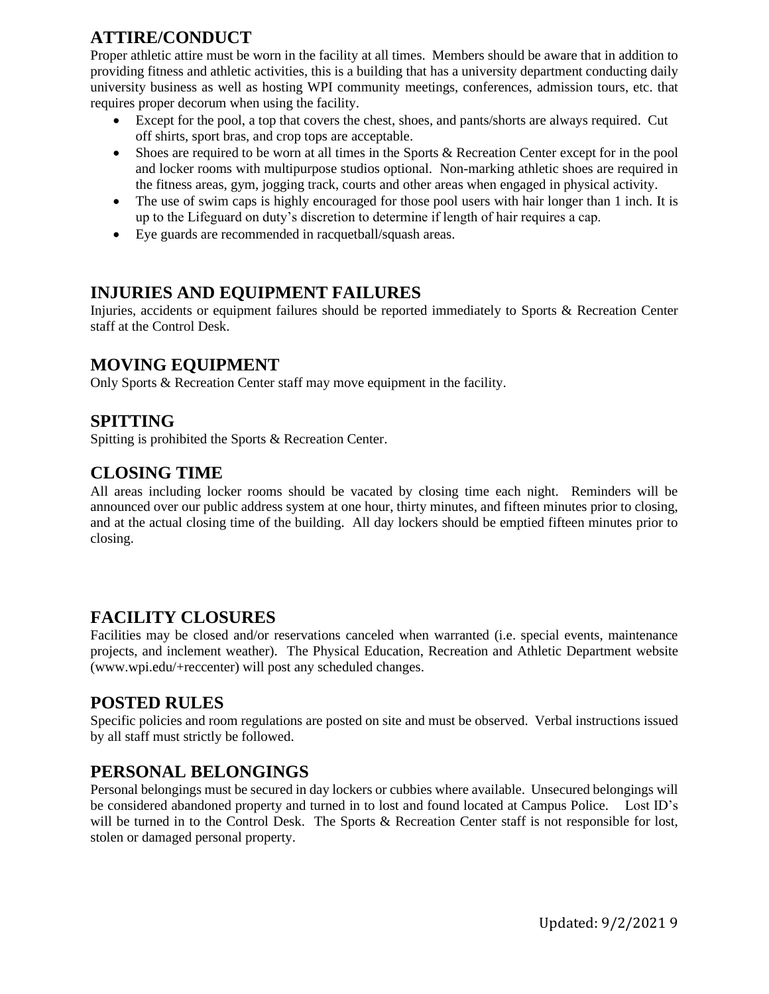# **ATTIRE/CONDUCT**

Proper athletic attire must be worn in the facility at all times. Members should be aware that in addition to providing fitness and athletic activities, this is a building that has a university department conducting daily university business as well as hosting WPI community meetings, conferences, admission tours, etc. that requires proper decorum when using the facility.

- Except for the pool, a top that covers the chest, shoes, and pants/shorts are always required. Cut off shirts, sport bras, and crop tops are acceptable.
- Shoes are required to be worn at all times in the Sports & Recreation Center except for in the pool and locker rooms with multipurpose studios optional. Non-marking athletic shoes are required in the fitness areas, gym, jogging track, courts and other areas when engaged in physical activity.
- The use of swim caps is highly encouraged for those pool users with hair longer than 1 inch. It is up to the Lifeguard on duty's discretion to determine if length of hair requires a cap.
- Eye guards are recommended in racquetball/squash areas.

### **INJURIES AND EQUIPMENT FAILURES**

Injuries, accidents or equipment failures should be reported immediately to Sports & Recreation Center staff at the Control Desk.

### **MOVING EQUIPMENT**

Only Sports & Recreation Center staff may move equipment in the facility.

#### **SPITTING**

Spitting is prohibited the Sports & Recreation Center.

#### **CLOSING TIME**

All areas including locker rooms should be vacated by closing time each night. Reminders will be announced over our public address system at one hour, thirty minutes, and fifteen minutes prior to closing, and at the actual closing time of the building. All day lockers should be emptied fifteen minutes prior to closing.

#### **FACILITY CLOSURES**

Facilities may be closed and/or reservations canceled when warranted (i.e. special events, maintenance projects, and inclement weather). The Physical Education, Recreation and Athletic Department website (www.wpi.edu/+reccenter) will post any scheduled changes.

#### **POSTED RULES**

Specific policies and room regulations are posted on site and must be observed. Verbal instructions issued by all staff must strictly be followed.

#### **PERSONAL BELONGINGS**

Personal belongings must be secured in day lockers or cubbies where available. Unsecured belongings will be considered abandoned property and turned in to lost and found located at Campus Police. Lost ID's will be turned in to the Control Desk. The Sports & Recreation Center staff is not responsible for lost, stolen or damaged personal property.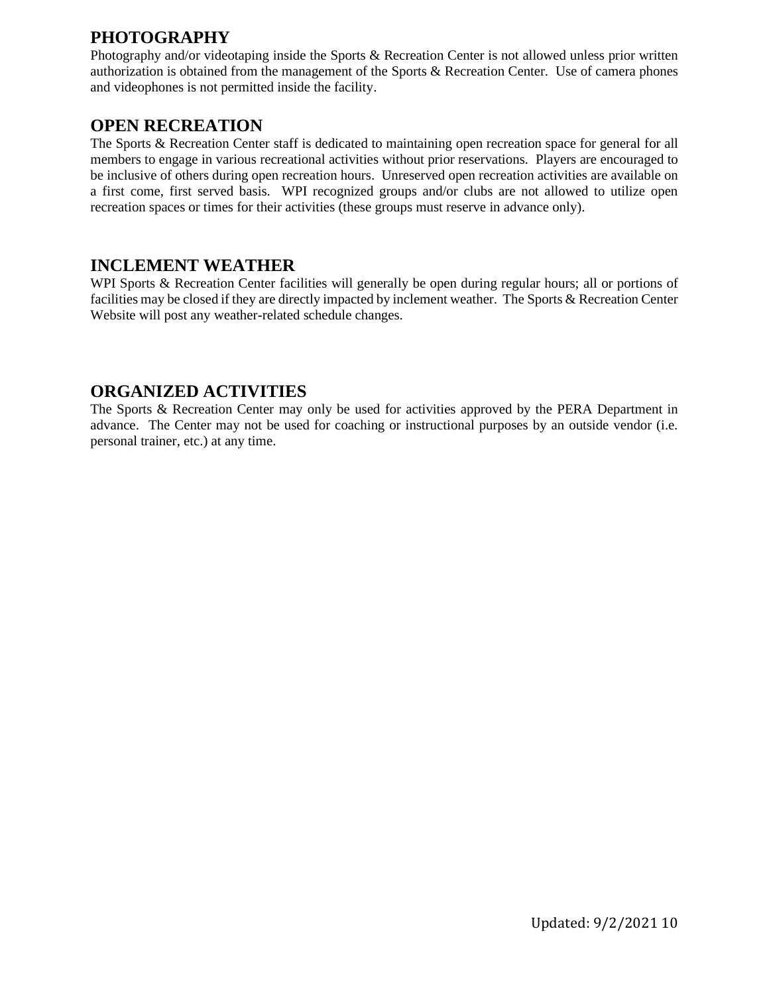# **PHOTOGRAPHY**

Photography and/or videotaping inside the Sports & Recreation Center is not allowed unless prior written authorization is obtained from the management of the Sports & Recreation Center. Use of camera phones and videophones is not permitted inside the facility.

#### **OPEN RECREATION**

The Sports & Recreation Center staff is dedicated to maintaining open recreation space for general for all members to engage in various recreational activities without prior reservations. Players are encouraged to be inclusive of others during open recreation hours. Unreserved open recreation activities are available on a first come, first served basis. WPI recognized groups and/or clubs are not allowed to utilize open recreation spaces or times for their activities (these groups must reserve in advance only).

#### **INCLEMENT WEATHER**

WPI Sports & Recreation Center facilities will generally be open during regular hours; all or portions of facilities may be closed if they are directly impacted by inclement weather. The Sports & Recreation Center Website will post any weather-related schedule changes.

#### **ORGANIZED ACTIVITIES**

The Sports & Recreation Center may only be used for activities approved by the PERA Department in advance. The Center may not be used for coaching or instructional purposes by an outside vendor (i.e. personal trainer, etc.) at any time.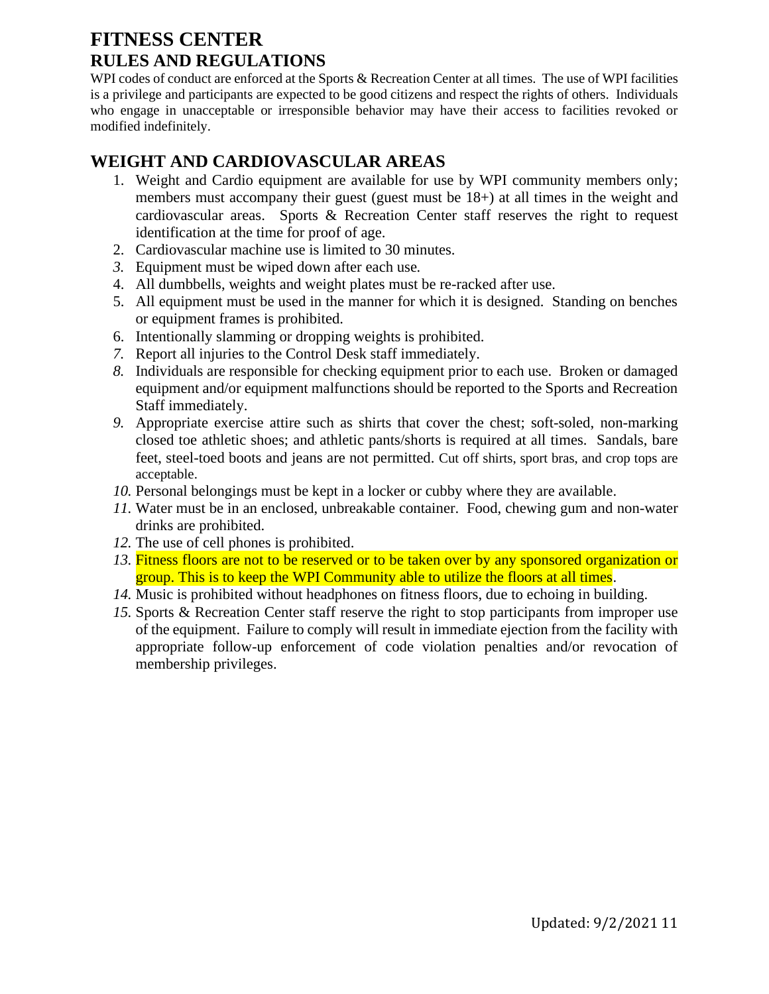# **FITNESS CENTER RULES AND REGULATIONS**

WPI codes of conduct are enforced at the Sports & Recreation Center at all times. The use of WPI facilities is a privilege and participants are expected to be good citizens and respect the rights of others. Individuals who engage in unacceptable or irresponsible behavior may have their access to facilities revoked or modified indefinitely.

#### **WEIGHT AND CARDIOVASCULAR AREAS**

- 1. Weight and Cardio equipment are available for use by WPI community members only; members must accompany their guest (guest must be 18+) at all times in the weight and cardiovascular areas. Sports & Recreation Center staff reserves the right to request identification at the time for proof of age.
- 2. Cardiovascular machine use is limited to 30 minutes.
- *3.* Equipment must be wiped down after each use*.*
- 4. All dumbbells, weights and weight plates must be re-racked after use.
- 5. All equipment must be used in the manner for which it is designed. Standing on benches or equipment frames is prohibited.
- 6. Intentionally slamming or dropping weights is prohibited.
- *7.* Report all injuries to the Control Desk staff immediately.
- *8.* Individuals are responsible for checking equipment prior to each use. Broken or damaged equipment and/or equipment malfunctions should be reported to the Sports and Recreation Staff immediately.
- *9.* Appropriate exercise attire such as shirts that cover the chest; soft-soled, non-marking closed toe athletic shoes; and athletic pants/shorts is required at all times. Sandals, bare feet, steel-toed boots and jeans are not permitted. Cut off shirts, sport bras, and crop tops are acceptable.
- *10.* Personal belongings must be kept in a locker or cubby where they are available.
- *11.* Water must be in an enclosed, unbreakable container. Food, chewing gum and non-water drinks are prohibited.
- *12.* The use of cell phones is prohibited.
- *13.* Fitness floors are not to be reserved or to be taken over by any sponsored organization or group. This is to keep the WPI Community able to utilize the floors at all times.
- *14.* Music is prohibited without headphones on fitness floors, due to echoing in building.
- *15.* Sports & Recreation Center staff reserve the right to stop participants from improper use of the equipment. Failure to comply will result in immediate ejection from the facility with appropriate follow-up enforcement of code violation penalties and/or revocation of membership privileges.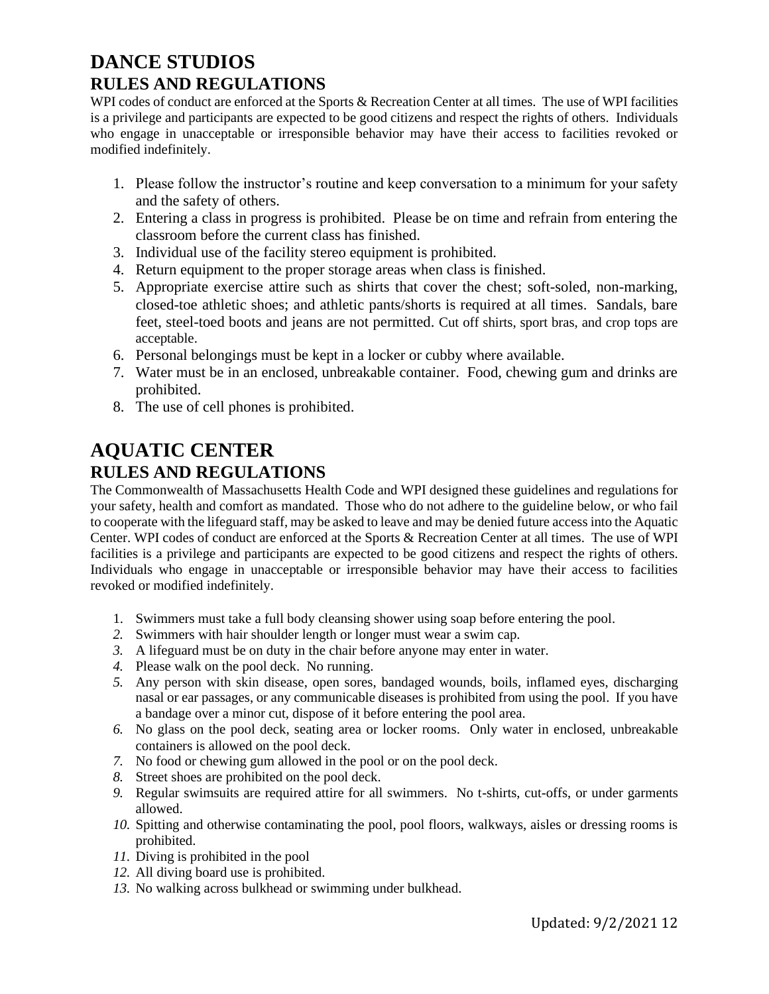# **DANCE STUDIOS RULES AND REGULATIONS**

WPI codes of conduct are enforced at the Sports & Recreation Center at all times. The use of WPI facilities is a privilege and participants are expected to be good citizens and respect the rights of others. Individuals who engage in unacceptable or irresponsible behavior may have their access to facilities revoked or modified indefinitely.

- 1. Please follow the instructor's routine and keep conversation to a minimum for your safety and the safety of others.
- 2. Entering a class in progress is prohibited. Please be on time and refrain from entering the classroom before the current class has finished.
- 3. Individual use of the facility stereo equipment is prohibited.
- 4. Return equipment to the proper storage areas when class is finished.
- 5. Appropriate exercise attire such as shirts that cover the chest; soft-soled, non-marking, closed-toe athletic shoes; and athletic pants/shorts is required at all times. Sandals, bare feet, steel-toed boots and jeans are not permitted. Cut off shirts, sport bras, and crop tops are acceptable.
- 6. Personal belongings must be kept in a locker or cubby where available.
- 7. Water must be in an enclosed, unbreakable container. Food, chewing gum and drinks are prohibited.
- 8. The use of cell phones is prohibited.

# **AQUATIC CENTER RULES AND REGULATIONS**

The Commonwealth of Massachusetts Health Code and WPI designed these guidelines and regulations for your safety, health and comfort as mandated. Those who do not adhere to the guideline below, or who fail to cooperate with the lifeguard staff, may be asked to leave and may be denied future access into the Aquatic Center. WPI codes of conduct are enforced at the Sports & Recreation Center at all times. The use of WPI facilities is a privilege and participants are expected to be good citizens and respect the rights of others. Individuals who engage in unacceptable or irresponsible behavior may have their access to facilities revoked or modified indefinitely.

- 1. Swimmers must take a full body cleansing shower using soap before entering the pool.
- *2.* Swimmers with hair shoulder length or longer must wear a swim cap.
- *3.* A lifeguard must be on duty in the chair before anyone may enter in water.
- *4.* Please walk on the pool deck. No running.
- *5.* Any person with skin disease, open sores, bandaged wounds, boils, inflamed eyes, discharging nasal or ear passages, or any communicable diseases is prohibited from using the pool. If you have a bandage over a minor cut, dispose of it before entering the pool area.
- *6.* No glass on the pool deck, seating area or locker rooms. Only water in enclosed, unbreakable containers is allowed on the pool deck.
- *7.* No food or chewing gum allowed in the pool or on the pool deck.
- *8.* Street shoes are prohibited on the pool deck.
- *9.* Regular swimsuits are required attire for all swimmers. No t-shirts, cut-offs, or under garments allowed.
- *10.* Spitting and otherwise contaminating the pool, pool floors, walkways, aisles or dressing rooms is prohibited.
- *11.* Diving is prohibited in the pool
- *12.* All diving board use is prohibited.
- *13.* No walking across bulkhead or swimming under bulkhead.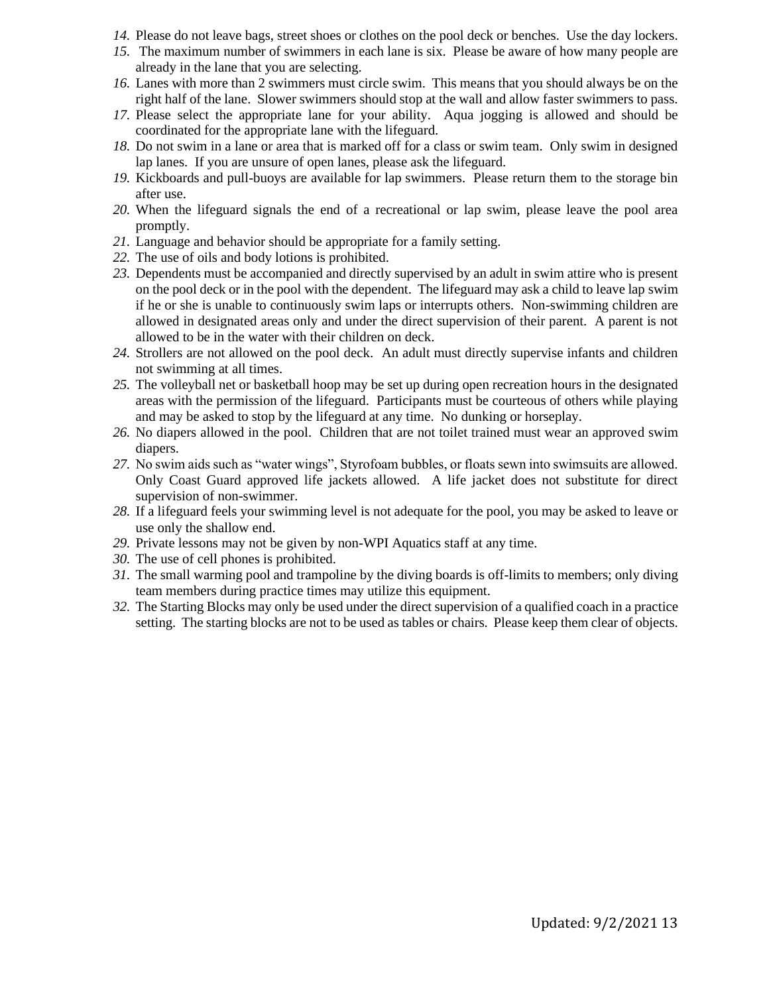- *14.* Please do not leave bags, street shoes or clothes on the pool deck or benches. Use the day lockers.
- *15.* The maximum number of swimmers in each lane is six. Please be aware of how many people are already in the lane that you are selecting.
- *16.* Lanes with more than 2 swimmers must circle swim. This means that you should always be on the right half of the lane. Slower swimmers should stop at the wall and allow faster swimmers to pass.
- *17.* Please select the appropriate lane for your ability. Aqua jogging is allowed and should be coordinated for the appropriate lane with the lifeguard.
- *18.* Do not swim in a lane or area that is marked off for a class or swim team. Only swim in designed lap lanes. If you are unsure of open lanes, please ask the lifeguard.
- *19.* Kickboards and pull-buoys are available for lap swimmers. Please return them to the storage bin after use.
- *20.* When the lifeguard signals the end of a recreational or lap swim, please leave the pool area promptly.
- *21.* Language and behavior should be appropriate for a family setting.
- *22.* The use of oils and body lotions is prohibited.
- *23.* Dependents must be accompanied and directly supervised by an adult in swim attire who is present on the pool deck or in the pool with the dependent. The lifeguard may ask a child to leave lap swim if he or she is unable to continuously swim laps or interrupts others. Non-swimming children are allowed in designated areas only and under the direct supervision of their parent. A parent is not allowed to be in the water with their children on deck.
- *24.* Strollers are not allowed on the pool deck. An adult must directly supervise infants and children not swimming at all times.
- *25.* The volleyball net or basketball hoop may be set up during open recreation hours in the designated areas with the permission of the lifeguard. Participants must be courteous of others while playing and may be asked to stop by the lifeguard at any time. No dunking or horseplay.
- *26.* No diapers allowed in the pool. Children that are not toilet trained must wear an approved swim diapers.
- *27.* No swim aids such as "water wings", Styrofoam bubbles, or floats sewn into swimsuits are allowed. Only Coast Guard approved life jackets allowed. A life jacket does not substitute for direct supervision of non-swimmer.
- *28.* If a lifeguard feels your swimming level is not adequate for the pool, you may be asked to leave or use only the shallow end.
- *29.* Private lessons may not be given by non-WPI Aquatics staff at any time.
- *30.* The use of cell phones is prohibited.
- *31.* The small warming pool and trampoline by the diving boards is off-limits to members; only diving team members during practice times may utilize this equipment.
- *32.* The Starting Blocks may only be used under the direct supervision of a qualified coach in a practice setting. The starting blocks are not to be used as tables or chairs. Please keep them clear of objects.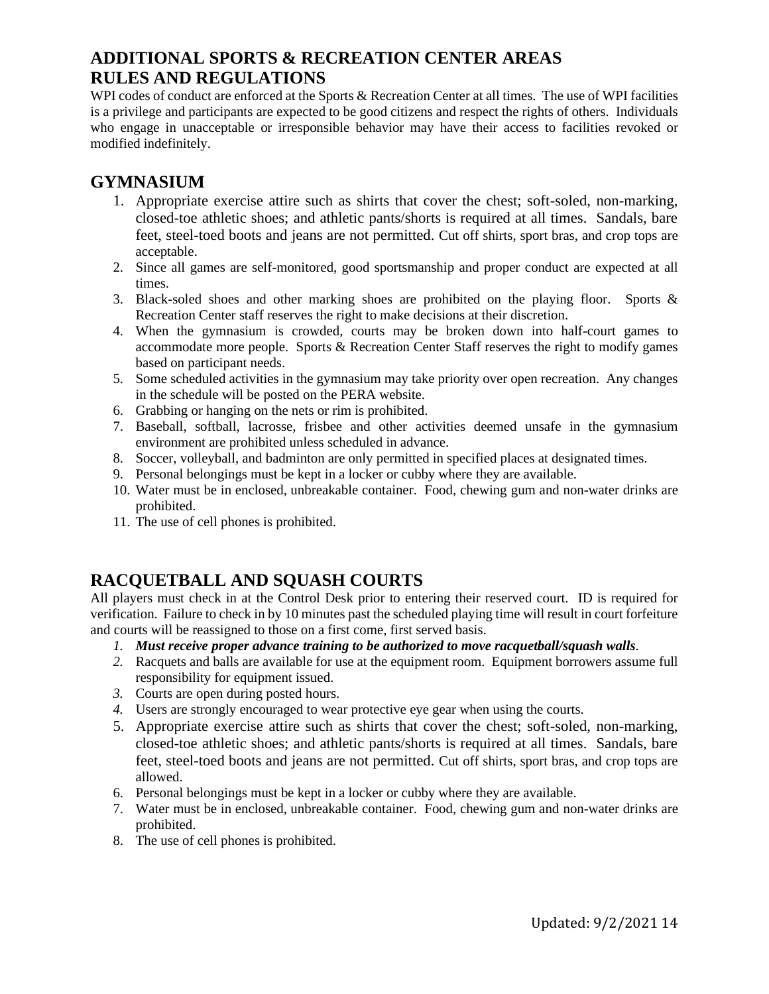### **ADDITIONAL SPORTS & RECREATION CENTER AREAS RULES AND REGULATIONS**

WPI codes of conduct are enforced at the Sports & Recreation Center at all times. The use of WPI facilities is a privilege and participants are expected to be good citizens and respect the rights of others. Individuals who engage in unacceptable or irresponsible behavior may have their access to facilities revoked or modified indefinitely.

#### **GYMNASIUM**

- 1. Appropriate exercise attire such as shirts that cover the chest; soft-soled, non-marking, closed-toe athletic shoes; and athletic pants/shorts is required at all times. Sandals, bare feet, steel-toed boots and jeans are not permitted. Cut off shirts, sport bras, and crop tops are acceptable.
- 2. Since all games are self-monitored, good sportsmanship and proper conduct are expected at all times.
- 3. Black-soled shoes and other marking shoes are prohibited on the playing floor. Sports & Recreation Center staff reserves the right to make decisions at their discretion.
- 4. When the gymnasium is crowded, courts may be broken down into half-court games to accommodate more people. Sports & Recreation Center Staff reserves the right to modify games based on participant needs.
- 5. Some scheduled activities in the gymnasium may take priority over open recreation. Any changes in the schedule will be posted on the PERA website.
- 6. Grabbing or hanging on the nets or rim is prohibited.
- 7. Baseball, softball, lacrosse, frisbee and other activities deemed unsafe in the gymnasium environment are prohibited unless scheduled in advance.
- 8. Soccer, volleyball, and badminton are only permitted in specified places at designated times.
- 9. Personal belongings must be kept in a locker or cubby where they are available.
- 10. Water must be in enclosed, unbreakable container. Food, chewing gum and non-water drinks are prohibited.
- 11. The use of cell phones is prohibited.

# **RACQUETBALL AND SQUASH COURTS**

All players must check in at the Control Desk prior to entering their reserved court. ID is required for verification. Failure to check in by 10 minutes past the scheduled playing time will result in court forfeiture and courts will be reassigned to those on a first come, first served basis.

- *1. Must receive proper advance training to be authorized to move racquetball/squash walls.*
- *2.* Racquets and balls are available for use at the equipment room. Equipment borrowers assume full responsibility for equipment issued.
- *3.* Courts are open during posted hours.
- *4.* Users are strongly encouraged to wear protective eye gear when using the courts.
- 5. Appropriate exercise attire such as shirts that cover the chest; soft-soled, non-marking, closed-toe athletic shoes; and athletic pants/shorts is required at all times. Sandals, bare feet, steel-toed boots and jeans are not permitted. Cut off shirts, sport bras, and crop tops are allowed.
- 6. Personal belongings must be kept in a locker or cubby where they are available.
- 7. Water must be in enclosed, unbreakable container. Food, chewing gum and non-water drinks are prohibited.
- 8. The use of cell phones is prohibited.